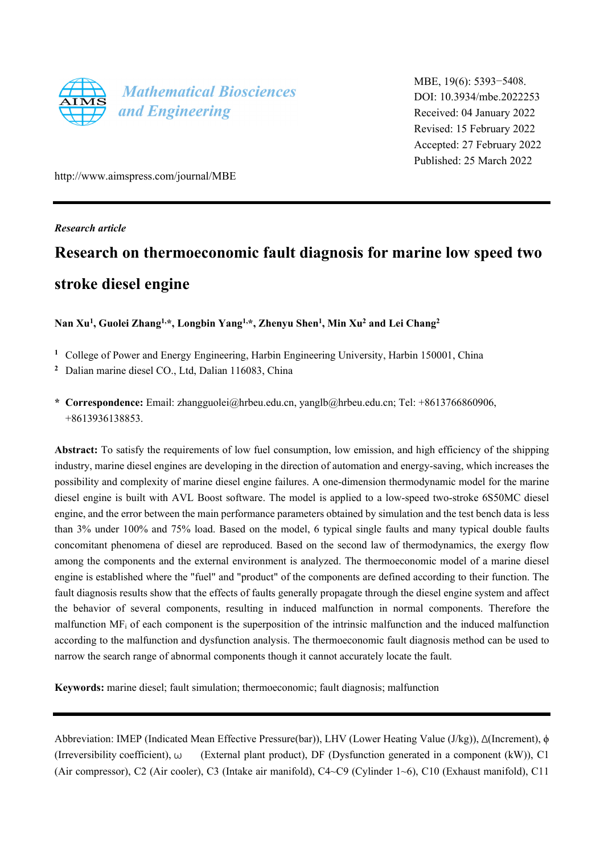

MBE, 19(6): 5393−5408. DOI: 10.3934/mbe.2022253 Received: 04 January 2022 Revised: 15 February 2022 Accepted: 27 February 2022 Published: 25 March 2022

http://www.aimspress.com/journal/MBE

*Research article* 

# **Research on thermoeconomic fault diagnosis for marine low speed two stroke diesel engine**

**Nan Xu1, Guolei Zhang1,\*, Longbin Yang1,\*, Zhenyu Shen1, Min Xu2 and Lei Chang2**

- <sup>1</sup> College of Power and Energy Engineering, Harbin Engineering University, Harbin 150001, China
- <sup>2</sup> Dalian marine diesel CO., Ltd, Dalian 116083, China
- **\* Correspondence:** Email: zhangguolei@hrbeu.edu.cn, yanglb@hrbeu.edu.cn; Tel: +8613766860906, +8613936138853.

**Abstract:** To satisfy the requirements of low fuel consumption, low emission, and high efficiency of the shipping industry, marine diesel engines are developing in the direction of automation and energy-saving, which increases the possibility and complexity of marine diesel engine failures. A one-dimension thermodynamic model for the marine diesel engine is built with AVL Boost software. The model is applied to a low-speed two-stroke 6S50MC diesel engine, and the error between the main performance parameters obtained by simulation and the test bench data is less than 3% under 100% and 75% load. Based on the model, 6 typical single faults and many typical double faults concomitant phenomena of diesel are reproduced. Based on the second law of thermodynamics, the exergy flow among the components and the external environment is analyzed. The thermoeconomic model of a marine diesel engine is established where the "fuel" and "product" of the components are defined according to their function. The fault diagnosis results show that the effects of faults generally propagate through the diesel engine system and affect the behavior of several components, resulting in induced malfunction in normal components. Therefore the malfunction MFi of each component is the superposition of the intrinsic malfunction and the induced malfunction according to the malfunction and dysfunction analysis. The thermoeconomic fault diagnosis method can be used to narrow the search range of abnormal components though it cannot accurately locate the fault.

**Keywords:** marine diesel; fault simulation; thermoeconomic; fault diagnosis; malfunction

Abbreviation: IMEP (Indicated Mean Effective Pressure(bar)), LHV (Lower Heating Value (J/kg)), Δ(Increment), ϕ (Irreversibility coefficient), ω (External plant product), DF (Dysfunction generated in a component (kW)), C1 (Air compressor), C2 (Air cooler), C3 (Intake air manifold), C4~C9 (Cylinder 1~6), C10 (Exhaust manifold), C11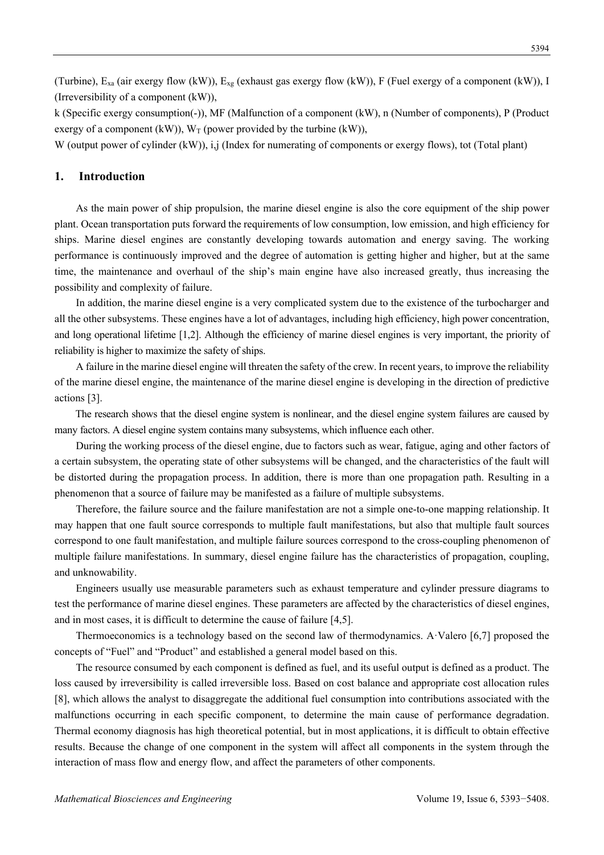(Turbine),  $E_{xa}$  (air exergy flow (kW)),  $E_{xa}$  (exhaust gas exergy flow (kW)), F (Fuel exergy of a component (kW)), I (Irreversibility of a component (kW)),

k (Specific exergy consumption(-)), MF (Malfunction of a component (kW), n (Number of components), P (Product exergy of a component (kW)),  $W_T$  (power provided by the turbine (kW)),

W (output power of cylinder (kW)), i,j (Index for numerating of components or exergy flows), tot (Total plant)

#### **1. Introduction**

As the main power of ship propulsion, the marine diesel engine is also the core equipment of the ship power plant. Ocean transportation puts forward the requirements of low consumption, low emission, and high efficiency for ships. Marine diesel engines are constantly developing towards automation and energy saving. The working performance is continuously improved and the degree of automation is getting higher and higher, but at the same time, the maintenance and overhaul of the ship's main engine have also increased greatly, thus increasing the possibility and complexity of failure.

In addition, the marine diesel engine is a very complicated system due to the existence of the turbocharger and all the other subsystems. These engines have a lot of advantages, including high efficiency, high power concentration, and long operational lifetime [1,2]. Although the efficiency of marine diesel engines is very important, the priority of reliability is higher to maximize the safety of ships.

A failure in the marine diesel engine will threaten the safety of the crew. In recent years, to improve the reliability of the marine diesel engine, the maintenance of the marine diesel engine is developing in the direction of predictive actions [3].

The research shows that the diesel engine system is nonlinear, and the diesel engine system failures are caused by many factors. A diesel engine system contains many subsystems, which influence each other.

During the working process of the diesel engine, due to factors such as wear, fatigue, aging and other factors of a certain subsystem, the operating state of other subsystems will be changed, and the characteristics of the fault will be distorted during the propagation process. In addition, there is more than one propagation path. Resulting in a phenomenon that a source of failure may be manifested as a failure of multiple subsystems.

Therefore, the failure source and the failure manifestation are not a simple one-to-one mapping relationship. It may happen that one fault source corresponds to multiple fault manifestations, but also that multiple fault sources correspond to one fault manifestation, and multiple failure sources correspond to the cross-coupling phenomenon of multiple failure manifestations. In summary, diesel engine failure has the characteristics of propagation, coupling, and unknowability.

Engineers usually use measurable parameters such as exhaust temperature and cylinder pressure diagrams to test the performance of marine diesel engines. These parameters are affected by the characteristics of diesel engines, and in most cases, it is difficult to determine the cause of failure [4,5].

Thermoeconomics is a technology based on the second law of thermodynamics. A·Valero [6,7] proposed the concepts of "Fuel" and "Product" and established a general model based on this.

The resource consumed by each component is defined as fuel, and its useful output is defined as a product. The loss caused by irreversibility is called irreversible loss. Based on cost balance and appropriate cost allocation rules [8], which allows the analyst to disaggregate the additional fuel consumption into contributions associated with the malfunctions occurring in each specific component, to determine the main cause of performance degradation. Thermal economy diagnosis has high theoretical potential, but in most applications, it is difficult to obtain effective results. Because the change of one component in the system will affect all components in the system through the interaction of mass flow and energy flow, and affect the parameters of other components.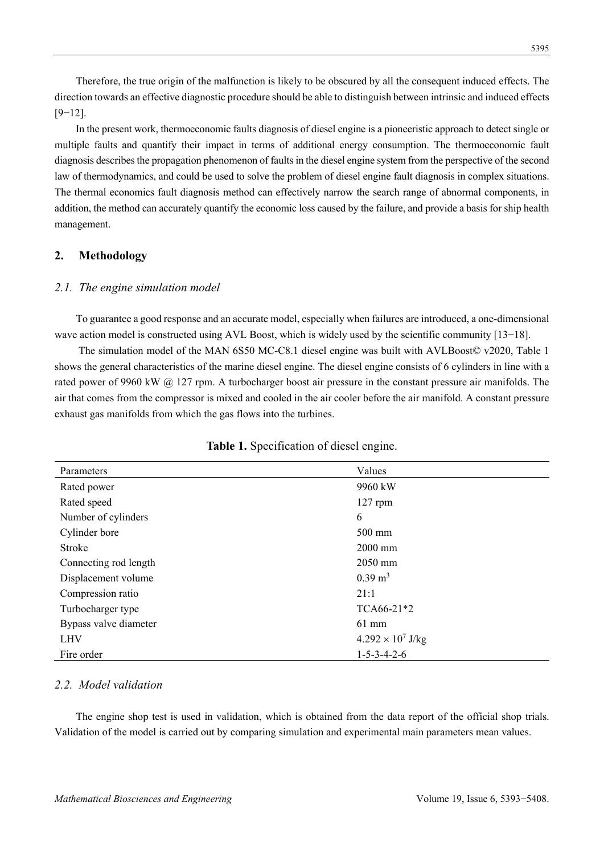Therefore, the true origin of the malfunction is likely to be obscured by all the consequent induced effects. The direction towards an effective diagnostic procedure should be able to distinguish between intrinsic and induced effects [9−12].

In the present work, thermoeconomic faults diagnosis of diesel engine is a pioneeristic approach to detect single or multiple faults and quantify their impact in terms of additional energy consumption. The thermoeconomic fault diagnosis describes the propagation phenomenon of faults in the diesel engine system from the perspective of the second law of thermodynamics, and could be used to solve the problem of diesel engine fault diagnosis in complex situations. The thermal economics fault diagnosis method can effectively narrow the search range of abnormal components, in addition, the method can accurately quantify the economic loss caused by the failure, and provide a basis for ship health management.

# **2. Methodology**

# *2.1. The engine simulation model*

To guarantee a good response and an accurate model, especially when failures are introduced, a one-dimensional wave action model is constructed using AVL Boost, which is widely used by the scientific community [13−18].

 The simulation model of the MAN 6S50 MC-C8.1 diesel engine was built with AVLBoost© v2020, Table 1 shows the general characteristics of the marine diesel engine. The diesel engine consists of 6 cylinders in line with a rated power of 9960 kW @ 127 rpm. A turbocharger boost air pressure in the constant pressure air manifolds. The air that comes from the compressor is mixed and cooled in the air cooler before the air manifold. A constant pressure exhaust gas manifolds from which the gas flows into the turbines.

| Parameters            | Values                   |
|-----------------------|--------------------------|
| Rated power           | 9960 kW                  |
| Rated speed           | $127$ rpm                |
| Number of cylinders   | 6                        |
| Cylinder bore         | $500 \text{ mm}$         |
| Stroke                | $2000$ mm                |
| Connecting rod length | 2050 mm                  |
| Displacement volume   | $0.39 \text{ m}^3$       |
| Compression ratio     | 21:1                     |
| Turbocharger type     | TCA66-21*2               |
| Bypass valve diameter | $61$ mm                  |
| <b>LHV</b>            | $4.292 \times 10^7$ J/kg |
| Fire order            | $1 - 5 - 3 - 4 - 2 - 6$  |

# **Table 1.** Specification of diesel engine.

# *2.2. Model validation*

The engine shop test is used in validation, which is obtained from the data report of the official shop trials. Validation of the model is carried out by comparing simulation and experimental main parameters mean values.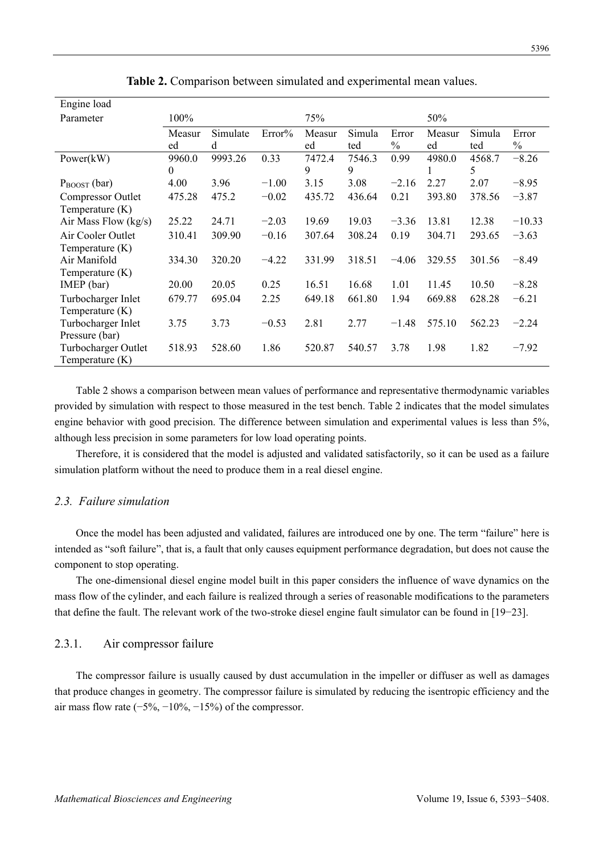| Engine load                              |              |               |         |              |               |                        |              |               |                        |
|------------------------------------------|--------------|---------------|---------|--------------|---------------|------------------------|--------------|---------------|------------------------|
| Parameter                                | $100\%$      |               |         | 75%          |               |                        | 50%          |               |                        |
|                                          | Measur<br>ed | Simulate<br>d | Error%  | Measur<br>ed | Simula<br>ted | Error<br>$\frac{0}{0}$ | Measur<br>ed | Simula<br>ted | Error<br>$\frac{0}{0}$ |
| Power(kW)                                | 9960.0<br>0  | 9993.26       | 0.33    | 7472.4<br>9  | 7546.3<br>9   | 0.99                   | 4980.0       | 4568.7<br>5   | $-8.26$                |
| $P_{\text{BOOST}}$ (bar)                 | 4.00         | 3.96          | $-1.00$ | 3.15         | 3.08          | $-2.16$                | 2.27         | 2.07          | $-8.95$                |
| Compressor Outlet<br>Temperature (K)     | 475.28       | 475.2         | $-0.02$ | 435.72       | 436.64        | 0.21                   | 393.80       | 378.56        | $-3.87$                |
| Air Mass Flow (kg/s)                     | 25.22        | 24.71         | $-2.03$ | 19.69        | 19.03         | $-3.36$                | 13.81        | 12.38         | $-10.33$               |
| Air Cooler Outlet<br>Temperature (K)     | 310.41       | 309.90        | $-0.16$ | 307.64       | 308.24        | 0.19                   | 304.71       | 293.65        | $-3.63$                |
| Air Manifold<br>Temperature $(K)$        | 334.30       | 320.20        | $-4.22$ | 331.99       | 318.51        | $-4.06$                | 329.55       | 301.56        | $-8.49$                |
| IMEP (bar)                               | 20.00        | 20.05         | 0.25    | 16.51        | 16.68         | 1.01                   | 11.45        | 10.50         | $-8.28$                |
| Turbocharger Inlet<br>Temperature (K)    | 679.77       | 695.04        | 2.25    | 649.18       | 661.80        | 1.94                   | 669.88       | 628.28        | $-6.21$                |
| Turbocharger Inlet<br>Pressure (bar)     | 3.75         | 3.73          | $-0.53$ | 2.81         | 2.77          | $-1.48$                | 575.10       | 562.23        | $-2.24$                |
| Turbocharger Outlet<br>Temperature $(K)$ | 518.93       | 528.60        | 1.86    | 520.87       | 540.57        | 3.78                   | 1.98         | 1.82          | $-7.92$                |

**Table 2.** Comparison between simulated and experimental mean values.

Table 2 shows a comparison between mean values of performance and representative thermodynamic variables provided by simulation with respect to those measured in the test bench. Table 2 indicates that the model simulates engine behavior with good precision. The difference between simulation and experimental values is less than 5%, although less precision in some parameters for low load operating points.

Therefore, it is considered that the model is adjusted and validated satisfactorily, so it can be used as a failure simulation platform without the need to produce them in a real diesel engine.

#### *2.3. Failure simulation*

Once the model has been adjusted and validated, failures are introduced one by one. The term "failure" here is intended as "soft failure", that is, a fault that only causes equipment performance degradation, but does not cause the component to stop operating.

The one-dimensional diesel engine model built in this paper considers the influence of wave dynamics on the mass flow of the cylinder, and each failure is realized through a series of reasonable modifications to the parameters that define the fault. The relevant work of the two-stroke diesel engine fault simulator can be found in [19−23].

# 2.3.1. Air compressor failure

The compressor failure is usually caused by dust accumulation in the impeller or diffuser as well as damages that produce changes in geometry. The compressor failure is simulated by reducing the isentropic efficiency and the air mass flow rate  $(-5\%, -10\%, -15\%)$  of the compressor.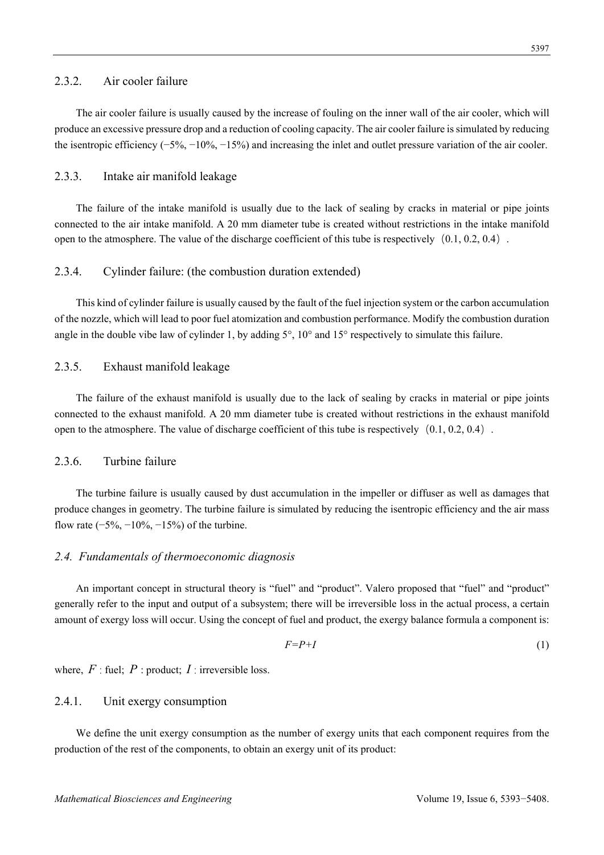# 2.3.2. Air cooler failure

The air cooler failure is usually caused by the increase of fouling on the inner wall of the air cooler, which will produce an excessive pressure drop and a reduction of cooling capacity. The air cooler failure is simulated by reducing the isentropic efficiency (−5%, −10%, −15%) and increasing the inlet and outlet pressure variation of the air cooler.

# 2.3.3. Intake air manifold leakage

The failure of the intake manifold is usually due to the lack of sealing by cracks in material or pipe joints connected to the air intake manifold. A 20 mm diameter tube is created without restrictions in the intake manifold open to the atmosphere. The value of the discharge coefficient of this tube is respectively  $(0.1, 0.2, 0.4)$ .

# 2.3.4. Cylinder failure: (the combustion duration extended)

This kind of cylinder failure is usually caused by the fault of the fuel injection system or the carbon accumulation of the nozzle, which will lead to poor fuel atomization and combustion performance. Modify the combustion duration angle in the double vibe law of cylinder 1, by adding  $5^\circ$ ,  $10^\circ$  and  $15^\circ$  respectively to simulate this failure.

#### 2.3.5. Exhaust manifold leakage

The failure of the exhaust manifold is usually due to the lack of sealing by cracks in material or pipe joints connected to the exhaust manifold. A 20 mm diameter tube is created without restrictions in the exhaust manifold open to the atmosphere. The value of discharge coefficient of this tube is respectively  $(0.1, 0.2, 0.4)$ .

# 2.3.6. Turbine failure

The turbine failure is usually caused by dust accumulation in the impeller or diffuser as well as damages that produce changes in geometry. The turbine failure is simulated by reducing the isentropic efficiency and the air mass flow rate  $(-5\%, -10\%, -15\%)$  of the turbine.

#### *2.4. Fundamentals of thermoeconomic diagnosis*

An important concept in structural theory is "fuel" and "product". Valero proposed that "fuel" and "product" generally refer to the input and output of a subsystem; there will be irreversible loss in the actual process, a certain amount of exergy loss will occur. Using the concept of fuel and product, the exergy balance formula a component is:

$$
F = P + I \tag{1}
$$

where,  $F$  : fuel;  $P$  : product;  $I$  : irreversible loss.

# 2.4.1. Unit exergy consumption

We define the unit exergy consumption as the number of exergy units that each component requires from the production of the rest of the components, to obtain an exergy unit of its product: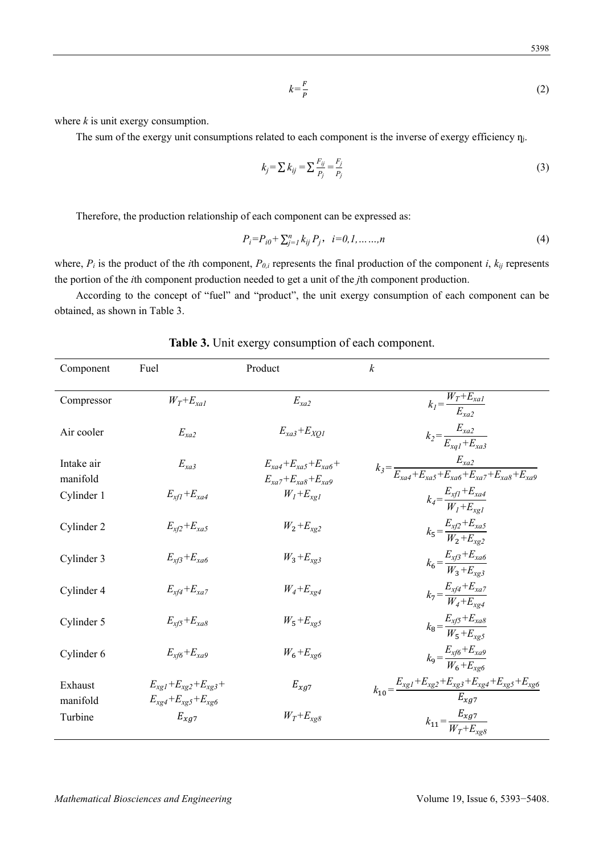$$
k = \frac{F}{P} \tag{2}
$$

where *k* is unit exergy consumption.

The sum of the exergy unit consumptions related to each component is the inverse of exergy efficiency  $\eta_i$ .

$$
k_j = \sum k_{ij} = \sum \frac{F_{ij}}{P_j} = \frac{F_j}{P_j} \tag{3}
$$

Therefore, the production relationship of each component can be expressed as:

$$
P_i = P_{i0} + \sum_{j=1}^{n} k_{ij} P_j, \quad i = 0, 1, \dots, n
$$
\n(4)

where,  $P_i$  is the product of the *i*th component,  $P_{0,i}$  represents the final production of the component *i*,  $k_{ij}$  represents the portion of the *i*th component production needed to get a unit of the *j*th component production.

According to the concept of "fuel" and "product", the unit exergy consumption of each component can be obtained, as shown in Table 3.

| Component              | Fuel                                                             | Product                                                                                               | $\boldsymbol{k}$                                                                     |
|------------------------|------------------------------------------------------------------|-------------------------------------------------------------------------------------------------------|--------------------------------------------------------------------------------------|
| Compressor             | $W_T + E_{\text{val}}$                                           | $E_{xa2}$                                                                                             | $k_l = \frac{W_T + E_{xal}}{E_{xal}}$                                                |
| Air cooler             | $E_{xa2}$                                                        | $E_{xa3}+E_{XO1}$                                                                                     | $k_2 = \frac{E_{xa2}}{E_{xa1} + E_{xa3}}$                                            |
| Intake air<br>manifold | $E_{xa3}$                                                        | $E_{\text{rad}}+E_{\text{rad}}+E_{\text{rad}}+$<br>$E_{\text{va}7} + E_{\text{xa}8} + E_{\text{xa}9}$ | $k_3 = \frac{E_{xa2}}{E_{xa}+E_{xa}+E_{xa}+E_{xa}+E_{xa}+E_{xa}+E_{xa}}$             |
| Cylinder 1             | $E_{xfl}+E_{xa4}$                                                | $W_l + E_{xgl}$                                                                                       | $k_4 = \frac{E_{xfl} + E_{xa4}}{W_1 + E_{xa4}}$                                      |
| Cylinder 2             | $E_{x/2} + E_{xa5}$                                              | $W_2 + E_{xg2}$                                                                                       | $k_5 = \frac{E_{xf2} + E_{xa5}}{W_2 + E_{xo2}}$                                      |
| Cylinder 3             | $E_{xf}E_{xa6}$                                                  | $W_3 + E_{xg3}$                                                                                       | $k_6 = \frac{E_{x/3} + E_{xa6}}{W_3 + E_{xa3}}$                                      |
| Cylinder 4             | $E_{xf4}+E_{xa7}$                                                | $W_4 + E_{xg4}$                                                                                       | $k_7 = \frac{E_{xf4} + E_{xa7}}{W_4 + E_{xa4}}$                                      |
| Cylinder 5             | $E_{xf5}+E_{xa8}$                                                | $W_5 + E_{xg5}$                                                                                       | $k_8 = \frac{E_{x/5} + E_{xa8}}{W_5 + E_{xa5}}$                                      |
| Cylinder 6             | $E_{xf6}+E_{xa9}$                                                | $W_6 + E_{xg6}$                                                                                       | $k_9 = \frac{E_{xf6} + E_{xa9}}{W_6 + E_{xa6}}$                                      |
| Exhaust<br>manifold    | $E_{xgl} + E_{xg2} + E_{xg3} +$<br>$E_{xg4} + E_{xg5} + E_{xg6}$ | $E_{xg7}$                                                                                             | $k_{10} = \frac{E_{xg1} + E_{xg2} + E_{xg3} + E_{xg4} + E_{xg5} + E_{xg6}}{E_{xg7}}$ |
| Turbine                | $E_{xg7}$                                                        | $W_T + E_{xg8}$                                                                                       | $k_{11} = \frac{E_{xg7}}{W_T + E_{xg8}}$                                             |

**Table 3.** Unit exergy consumption of each component.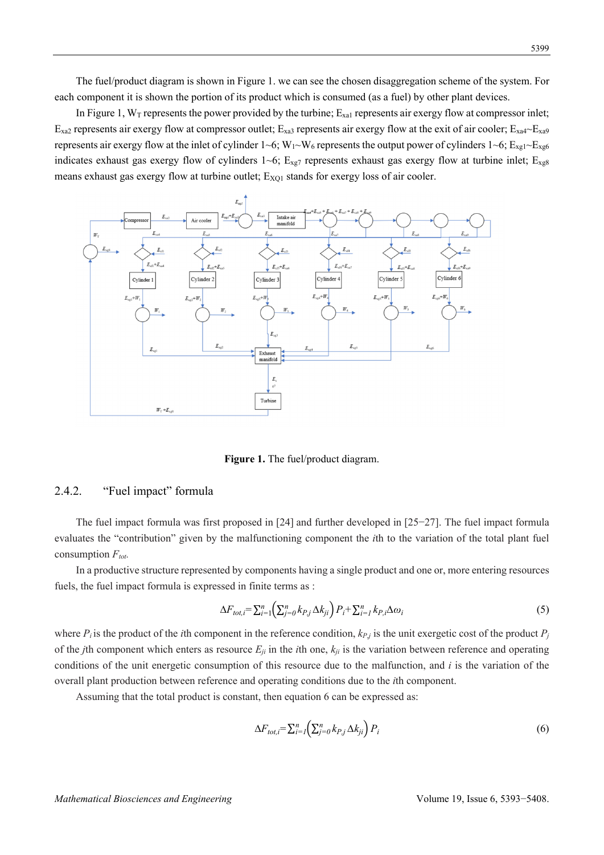The fuel/product diagram is shown in Figure 1. we can see the chosen disaggregation scheme of the system. For each component it is shown the portion of its product which is consumed (as a fuel) by other plant devices.

In Figure 1,  $W_T$  represents the power provided by the turbine;  $E_{\text{xa}1}$  represents air exergy flow at compressor inlet;  $E_{\text{xa2}}$  represents air exergy flow at compressor outlet;  $E_{\text{xa3}}$  represents air exergy flow at the exit of air cooler;  $E_{\text{xa4}}$  $E_{\text{xa9}}$ represents air exergy flow at the inlet of cylinder 1~6;  $W_1~W_6$  represents the output power of cylinders 1~6;  $E_{xg1}$ ~ $E_{xg6}$ indicates exhaust gas exergy flow of cylinders  $1~6$ ;  $E_{xg7}$  represents exhaust gas exergy flow at turbine inlet;  $E_{xg8}$ means exhaust gas exergy flow at turbine outlet; E<sub>XQ1</sub> stands for exergy loss of air cooler.



**Figure 1.** The fuel/product diagram.

# 2.4.2. "Fuel impact" formula

The fuel impact formula was first proposed in [24] and further developed in [25−27]. The fuel impact formula evaluates the "contribution" given by the malfunctioning component the *i*th to the variation of the total plant fuel consumption  $F_{tot}$ .

In a productive structure represented by components having a single product and one or, more entering resources fuels, the fuel impact formula is expressed in finite terms as :

$$
\Delta F_{tot,i} = \sum_{i=1}^{n} \left( \sum_{j=0}^{n} k_{P,j} \Delta k_{ji} \right) P_i + \sum_{i=1}^{n} k_{P,i} \Delta \omega_i \tag{5}
$$

where  $P_i$  is the product of the *i*th component in the reference condition,  $k_{P_i}$  is the unit exergetic cost of the product  $P_i$ of the *j*th component which enters as resource  $E_{ji}$  in the *i*th one,  $k_{ji}$  is the variation between reference and operating conditions of the unit energetic consumption of this resource due to the malfunction, and *i* is the variation of the overall plant production between reference and operating conditions due to the *i*th component.

Assuming that the total product is constant, then equation 6 can be expressed as:

$$
\Delta F_{tot,i} = \sum_{i=1}^{n} \left( \sum_{j=0}^{n} k_{P,j} \Delta k_{ji} \right) P_i \tag{6}
$$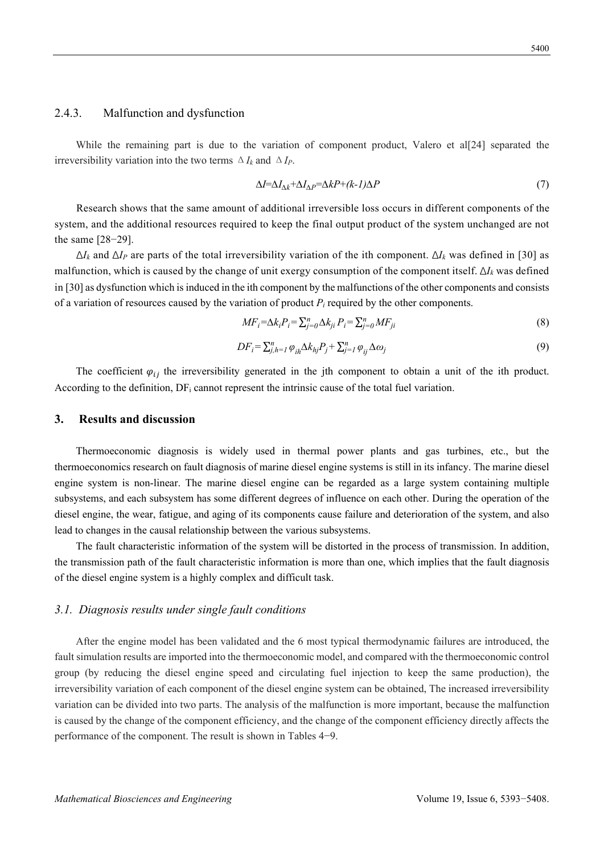# 2.4.3. Malfunction and dysfunction

While the remaining part is due to the variation of component product, Valero et al[24] separated the irreversibility variation into the two terms  $\Delta I_k$  and  $\Delta I_p$ .

$$
\Delta I = \Delta I_{\Delta k} + \Delta I_{\Delta P} = \Delta k P + (k - 1)\Delta P \tag{7}
$$

Research shows that the same amount of additional irreversible loss occurs in different components of the system, and the additional resources required to keep the final output product of the system unchanged are not the same [28−29].

Δ*Ik* and Δ*IP* are parts of the total irreversibility variation of the ith component. Δ*Ik* was defined in [30] as malfunction, which is caused by the change of unit exergy consumption of the component itself. Δ*Ik* was defined in [30] as dysfunction which is induced in the ith component by the malfunctions of the other components and consists of a variation of resources caused by the variation of product  $P_i$  required by the other components.

$$
MF_i = \Delta k_i P_i = \sum_{j=0}^{n} \Delta k_{ji} P_i = \sum_{j=0}^{n} MF_{ji}
$$
\n(8)

$$
DF_i = \sum_{j,h=1}^n \varphi_{ih} \Delta k_{hj} P_j + \sum_{j=1}^n \varphi_{ij} \Delta \omega_j
$$
\n<sup>(9)</sup>

The coefficient  $\varphi_{ii}$  the irreversibility generated in the jth component to obtain a unit of the ith product. According to the definition,  $DF_i$  cannot represent the intrinsic cause of the total fuel variation.

#### **3. Results and discussion**

Thermoeconomic diagnosis is widely used in thermal power plants and gas turbines, etc., but the thermoeconomics research on fault diagnosis of marine diesel engine systems is still in its infancy. The marine diesel engine system is non-linear. The marine diesel engine can be regarded as a large system containing multiple subsystems, and each subsystem has some different degrees of influence on each other. During the operation of the diesel engine, the wear, fatigue, and aging of its components cause failure and deterioration of the system, and also lead to changes in the causal relationship between the various subsystems.

The fault characteristic information of the system will be distorted in the process of transmission. In addition, the transmission path of the fault characteristic information is more than one, which implies that the fault diagnosis of the diesel engine system is a highly complex and difficult task.

#### *3.1. Diagnosis results under single fault conditions*

After the engine model has been validated and the 6 most typical thermodynamic failures are introduced, the fault simulation results are imported into the thermoeconomic model, and compared with the thermoeconomic control group (by reducing the diesel engine speed and circulating fuel injection to keep the same production), the irreversibility variation of each component of the diesel engine system can be obtained, The increased irreversibility variation can be divided into two parts. The analysis of the malfunction is more important, because the malfunction is caused by the change of the component efficiency, and the change of the component efficiency directly affects the performance of the component. The result is shown in Tables 4−9.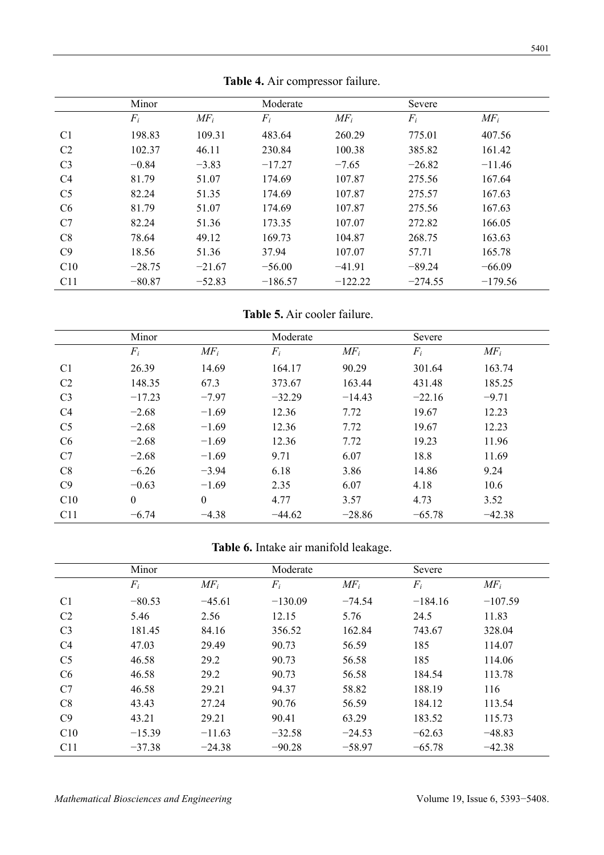|                | Minor    |          | Moderate  |           | Severe    |           |
|----------------|----------|----------|-----------|-----------|-----------|-----------|
|                | $F_i$    | $MF_i$   | $F_i$     | $MF_i$    | $F_i$     | $MF_i$    |
| C <sub>1</sub> | 198.83   | 109.31   | 483.64    | 260.29    | 775.01    | 407.56    |
| C <sub>2</sub> | 102.37   | 46.11    | 230.84    | 100.38    | 385.82    | 161.42    |
| C <sub>3</sub> | $-0.84$  | $-3.83$  | $-17.27$  | $-7.65$   | $-26.82$  | $-11.46$  |
| C <sub>4</sub> | 81.79    | 51.07    | 174.69    | 107.87    | 275.56    | 167.64    |
| C <sub>5</sub> | 82.24    | 51.35    | 174.69    | 107.87    | 275.57    | 167.63    |
| C6             | 81.79    | 51.07    | 174.69    | 107.87    | 275.56    | 167.63    |
| C7             | 82.24    | 51.36    | 173.35    | 107.07    | 272.82    | 166.05    |
| C8             | 78.64    | 49.12    | 169.73    | 104.87    | 268.75    | 163.63    |
| C9             | 18.56    | 51.36    | 37.94     | 107.07    | 57.71     | 165.78    |
| C10            | $-28.75$ | $-21.67$ | $-56.00$  | $-41.91$  | $-89.24$  | $-66.09$  |
| C11            | $-80.87$ | $-52.83$ | $-186.57$ | $-122.22$ | $-274.55$ | $-179.56$ |

**Table 4.** Air compressor failure.

**Table 5.** Air cooler failure.

|                | Minor    |              | Moderate |          | Severe   |          |
|----------------|----------|--------------|----------|----------|----------|----------|
|                | $F_i$    | $MF_i$       | $F_i$    | $MF_i$   | $F_i$    | $MF_i$   |
| C <sub>1</sub> | 26.39    | 14.69        | 164.17   | 90.29    | 301.64   | 163.74   |
| C <sub>2</sub> | 148.35   | 67.3         | 373.67   | 163.44   | 431.48   | 185.25   |
| C <sub>3</sub> | $-17.23$ | $-7.97$      | $-32.29$ | $-14.43$ | $-22.16$ | $-9.71$  |
| C <sub>4</sub> | $-2.68$  | $-1.69$      | 12.36    | 7.72     | 19.67    | 12.23    |
| C <sub>5</sub> | $-2.68$  | $-1.69$      | 12.36    | 7.72     | 19.67    | 12.23    |
| C <sub>6</sub> | $-2.68$  | $-1.69$      | 12.36    | 7.72     | 19.23    | 11.96    |
| C7             | $-2.68$  | $-1.69$      | 9.71     | 6.07     | 18.8     | 11.69    |
| C8             | $-6.26$  | $-3.94$      | 6.18     | 3.86     | 14.86    | 9.24     |
| C9             | $-0.63$  | $-1.69$      | 2.35     | 6.07     | 4.18     | 10.6     |
| C10            | $\theta$ | $\mathbf{0}$ | 4.77     | 3.57     | 4.73     | 3.52     |
| C11            | $-6.74$  | $-4.38$      | $-44.62$ | $-28.86$ | $-65.78$ | $-42.38$ |

# **Table 6.** Intake air manifold leakage.

|                | Minor    |          | Moderate  |          | Severe    |           |
|----------------|----------|----------|-----------|----------|-----------|-----------|
|                | $F_i$    | $MF_i$   | $F_i$     | $MF_i$   | $F_i$     | $MF_i$    |
| C <sub>1</sub> | $-80.53$ | $-45.61$ | $-130.09$ | $-74.54$ | $-184.16$ | $-107.59$ |
| C <sub>2</sub> | 5.46     | 2.56     | 12.15     | 5.76     | 24.5      | 11.83     |
| C <sub>3</sub> | 181.45   | 84.16    | 356.52    | 162.84   | 743.67    | 328.04    |
| C <sub>4</sub> | 47.03    | 29.49    | 90.73     | 56.59    | 185       | 114.07    |
| C <sub>5</sub> | 46.58    | 29.2     | 90.73     | 56.58    | 185       | 114.06    |
| C <sub>6</sub> | 46.58    | 29.2     | 90.73     | 56.58    | 184.54    | 113.78    |
| C7             | 46.58    | 29.21    | 94.37     | 58.82    | 188.19    | 116       |
| C8             | 43.43    | 27.24    | 90.76     | 56.59    | 184.12    | 113.54    |
| C9             | 43.21    | 29.21    | 90.41     | 63.29    | 183.52    | 115.73    |
| C10            | $-15.39$ | $-11.63$ | $-32.58$  | $-24.53$ | $-62.63$  | $-48.83$  |
| C11            | $-37.38$ | $-24.38$ | $-90.28$  | $-58.97$ | $-65.78$  | $-42.38$  |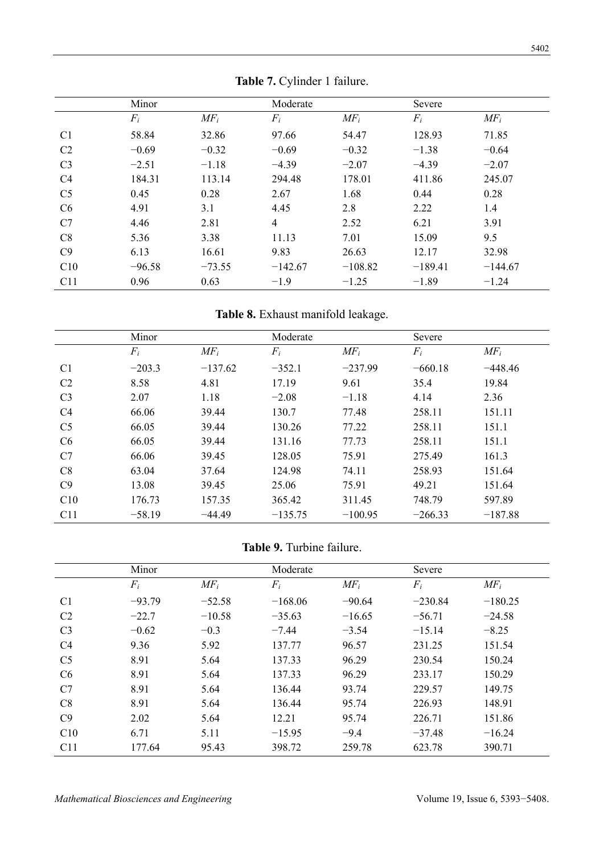|                | Minor    |          | Moderate  |           | Severe    |           |
|----------------|----------|----------|-----------|-----------|-----------|-----------|
|                | $F_i$    | $MF_i$   | $F_i$     | $MF_i$    | $F_i$     | $MF_i$    |
| C <sub>1</sub> | 58.84    | 32.86    | 97.66     | 54.47     | 128.93    | 71.85     |
| C <sub>2</sub> | $-0.69$  | $-0.32$  | $-0.69$   | $-0.32$   | $-1.38$   | $-0.64$   |
| C <sub>3</sub> | $-2.51$  | $-1.18$  | $-4.39$   | $-2.07$   | $-4.39$   | $-2.07$   |
| C4             | 184.31   | 113.14   | 294.48    | 178.01    | 411.86    | 245.07    |
| C <sub>5</sub> | 0.45     | 0.28     | 2.67      | 1.68      | 0.44      | 0.28      |
| C6             | 4.91     | 3.1      | 4.45      | 2.8       | 2.22      | 1.4       |
| C7             | 4.46     | 2.81     | 4         | 2.52      | 6.21      | 3.91      |
| C8             | 5.36     | 3.38     | 11.13     | 7.01      | 15.09     | 9.5       |
| C9             | 6.13     | 16.61    | 9.83      | 26.63     | 12.17     | 32.98     |
| C10            | $-96.58$ | $-73.55$ | $-142.67$ | $-108.82$ | $-189.41$ | $-144.67$ |
| C11            | 0.96     | 0.63     | $-1.9$    | $-1.25$   | $-1.89$   | $-1.24$   |

**Table 7.** Cylinder 1 failure.

Table 8. Exhaust manifold leakage.

|                | Minor    |           | Moderate  |           | Severe    |           |
|----------------|----------|-----------|-----------|-----------|-----------|-----------|
|                | $F_i$    | $MF_i$    | $F_i$     | $MF_i$    | $F_i$     | $MF_i$    |
| C <sub>1</sub> | $-203.3$ | $-137.62$ | $-352.1$  | $-237.99$ | $-660.18$ | $-448.46$ |
| C <sub>2</sub> | 8.58     | 4.81      | 17.19     | 9.61      | 35.4      | 19.84     |
| C <sub>3</sub> | 2.07     | 1.18      | $-2.08$   | $-1.18$   | 4.14      | 2.36      |
| C <sub>4</sub> | 66.06    | 39.44     | 130.7     | 77.48     | 258.11    | 151.11    |
| C <sub>5</sub> | 66.05    | 39.44     | 130.26    | 77.22     | 258.11    | 151.1     |
| C6             | 66.05    | 39.44     | 131.16    | 77.73     | 258.11    | 151.1     |
| C7             | 66.06    | 39.45     | 128.05    | 75.91     | 275.49    | 161.3     |
| C8             | 63.04    | 37.64     | 124.98    | 74.11     | 258.93    | 151.64    |
| C9             | 13.08    | 39.45     | 25.06     | 75.91     | 49.21     | 151.64    |
| C10            | 176.73   | 157.35    | 365.42    | 311.45    | 748.79    | 597.89    |
| C11            | $-58.19$ | $-44.49$  | $-135.75$ | $-100.95$ | $-266.33$ | $-187.88$ |

**Table 9.** Turbine failure.

|                | Minor    |          | Moderate  |          | Severe    |           |
|----------------|----------|----------|-----------|----------|-----------|-----------|
|                | $F_i$    | $MF_i$   | $F_i$     | $MF_i$   | $F_i$     | $MF_i$    |
| C <sub>1</sub> | $-93.79$ | $-52.58$ | $-168.06$ | $-90.64$ | $-230.84$ | $-180.25$ |
| C <sub>2</sub> | $-22.7$  | $-10.58$ | $-35.63$  | $-16.65$ | $-56.71$  | $-24.58$  |
| C <sub>3</sub> | $-0.62$  | $-0.3$   | $-7.44$   | $-3.54$  | $-15.14$  | $-8.25$   |
| C <sub>4</sub> | 9.36     | 5.92     | 137.77    | 96.57    | 231.25    | 151.54    |
| C <sub>5</sub> | 8.91     | 5.64     | 137.33    | 96.29    | 230.54    | 150.24    |
| C6             | 8.91     | 5.64     | 137.33    | 96.29    | 233.17    | 150.29    |
| C7             | 8.91     | 5.64     | 136.44    | 93.74    | 229.57    | 149.75    |
| C8             | 8.91     | 5.64     | 136.44    | 95.74    | 226.93    | 148.91    |
| C9             | 2.02     | 5.64     | 12.21     | 95.74    | 226.71    | 151.86    |
| C10            | 6.71     | 5.11     | $-15.95$  | $-9.4$   | $-37.48$  | $-16.24$  |
| C11            | 177.64   | 95.43    | 398.72    | 259.78   | 623.78    | 390.71    |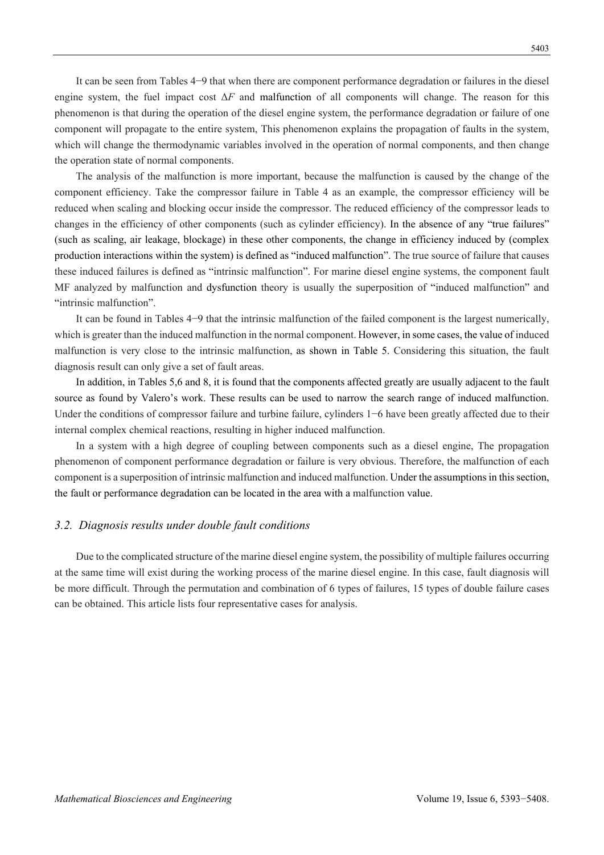It can be seen from Tables 4−9 that when there are component performance degradation or failures in the diesel engine system, the fuel impact cost Δ*F* and malfunction of all components will change. The reason for this phenomenon is that during the operation of the diesel engine system, the performance degradation or failure of one component will propagate to the entire system, This phenomenon explains the propagation of faults in the system, which will change the thermodynamic variables involved in the operation of normal components, and then change the operation state of normal components.

The analysis of the malfunction is more important, because the malfunction is caused by the change of the component efficiency. Take the compressor failure in Table 4 as an example, the compressor efficiency will be reduced when scaling and blocking occur inside the compressor. The reduced efficiency of the compressor leads to changes in the efficiency of other components (such as cylinder efficiency). In the absence of any "true failures" (such as scaling, air leakage, blockage) in these other components, the change in efficiency induced by (complex production interactions within the system) is defined as "induced malfunction". The true source of failure that causes these induced failures is defined as "intrinsic malfunction". For marine diesel engine systems, the component fault MF analyzed by malfunction and dysfunction theory is usually the superposition of "induced malfunction" and "intrinsic malfunction".

It can be found in Tables 4−9 that the intrinsic malfunction of the failed component is the largest numerically, which is greater than the induced malfunction in the normal component. However, in some cases, the value of induced malfunction is very close to the intrinsic malfunction, as shown in Table 5. Considering this situation, the fault diagnosis result can only give a set of fault areas.

In addition, in Tables 5,6 and 8, it is found that the components affected greatly are usually adjacent to the fault source as found by Valero's work. These results can be used to narrow the search range of induced malfunction. Under the conditions of compressor failure and turbine failure, cylinders 1−6 have been greatly affected due to their internal complex chemical reactions, resulting in higher induced malfunction.

In a system with a high degree of coupling between components such as a diesel engine, The propagation phenomenon of component performance degradation or failure is very obvious. Therefore, the malfunction of each component is a superposition of intrinsic malfunction and induced malfunction. Under the assumptions in this section, the fault or performance degradation can be located in the area with a malfunction value.

#### *3.2. Diagnosis results under double fault conditions*

Due to the complicated structure of the marine diesel engine system, the possibility of multiple failures occurring at the same time will exist during the working process of the marine diesel engine. In this case, fault diagnosis will be more difficult. Through the permutation and combination of 6 types of failures, 15 types of double failure cases can be obtained. This article lists four representative cases for analysis.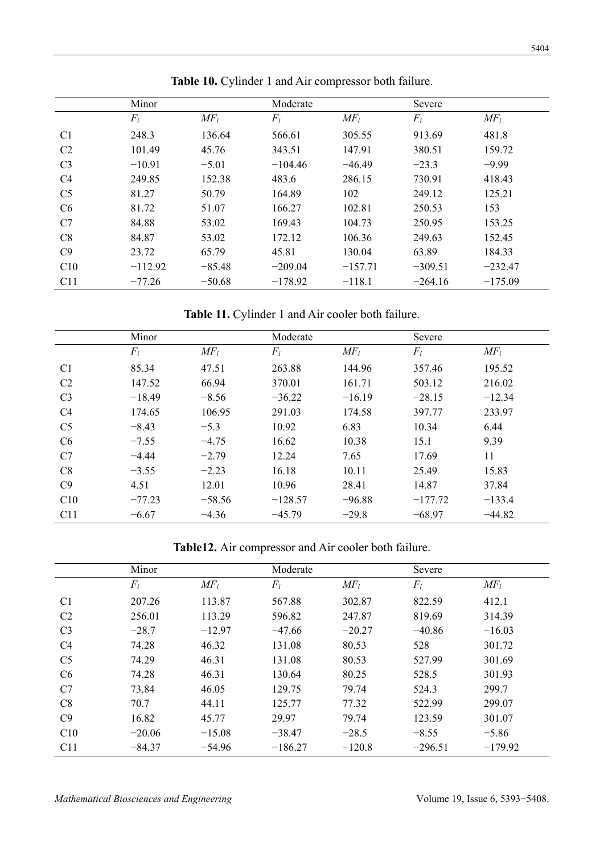|                | Minor     |          | Moderate  |           | Severe    |           |
|----------------|-----------|----------|-----------|-----------|-----------|-----------|
|                | $F_i$     | $MF_i$   | $F_i$     | $MF_i$    | $F_i$     | $MF_i$    |
| C <sub>1</sub> | 248.3     | 136.64   | 566.61    | 305.55    | 913.69    | 481.8     |
| C <sub>2</sub> | 101.49    | 45.76    | 343.51    | 147.91    | 380.51    | 159.72    |
| C <sub>3</sub> | $-10.91$  | $-5.01$  | $-104.46$ | $-46.49$  | $-23.3$   | $-9.99$   |
| C <sub>4</sub> | 249.85    | 152.38   | 483.6     | 286.15    | 730.91    | 418.43    |
| C <sub>5</sub> | 81.27     | 50.79    | 164.89    | 102       | 249.12    | 125.21    |
| C6             | 81.72     | 51.07    | 166.27    | 102.81    | 250.53    | 153       |
| C7             | 84.88     | 53.02    | 169.43    | 104.73    | 250.95    | 153.25    |
| C8             | 84.87     | 53.02    | 172.12    | 106.36    | 249.63    | 152.45    |
| C9             | 23.72     | 65.79    | 45.81     | 130.04    | 63.89     | 184.33    |
| C10            | $-112.92$ | $-85.48$ | $-209.04$ | $-157.71$ | $-309.51$ | $-232.47$ |
| C11            | $-77.26$  | $-50.68$ | $-178.92$ | $-118.1$  | $-264.16$ | $-175.09$ |

Table 10. Cylinder 1 and Air compressor both failure.

**Table 11.** Cylinder 1 and Air cooler both failure.

|                | Minor    |          | Moderate  |          | Severe    |          |
|----------------|----------|----------|-----------|----------|-----------|----------|
|                | $F_i$    | $MF_i$   | $F_i$     | $MF_i$   | $F_i$     | $MF_i$   |
| C <sub>1</sub> | 85.34    | 47.51    | 263.88    | 144.96   | 357.46    | 195.52   |
| C <sub>2</sub> | 147.52   | 66.94    | 370.01    | 161.71   | 503.12    | 216.02   |
| C <sub>3</sub> | $-18.49$ | $-8.56$  | $-36.22$  | $-16.19$ | $-28.15$  | $-12.34$ |
| C <sub>4</sub> | 174.65   | 106.95   | 291.03    | 174.58   | 397.77    | 233.97   |
| C <sub>5</sub> | $-8.43$  | $-5.3$   | 10.92     | 6.83     | 10.34     | 6.44     |
| C6             | $-7.55$  | $-4.75$  | 16.62     | 10.38    | 15.1      | 9.39     |
| C7             | $-4.44$  | $-2.79$  | 12.24     | 7.65     | 17.69     | 11       |
| C8             | $-3.55$  | $-2.23$  | 16.18     | 10.11    | 25.49     | 15.83    |
| C9             | 4.51     | 12.01    | 10.96     | 28.41    | 14.87     | 37.84    |
| C10            | $-77.23$ | $-58.56$ | $-128.57$ | $-96.88$ | $-177.72$ | $-133.4$ |
| C11            | $-6.67$  | $-4.36$  | $-45.79$  | $-29.8$  | $-68.97$  | $-44.82$ |

**Table12.** Air compressor and Air cooler both failure.

|                | Minor    |          | Moderate  |          | Severe    |           |
|----------------|----------|----------|-----------|----------|-----------|-----------|
|                | $F_i$    | $MF_i$   | $F_i$     | $MF_i$   | $F_i$     | $MF_i$    |
| C <sub>1</sub> | 207.26   | 113.87   | 567.88    | 302.87   | 822.59    | 412.1     |
| C <sub>2</sub> | 256.01   | 113.29   | 596.82    | 247.87   | 819.69    | 314.39    |
| C <sub>3</sub> | $-28.7$  | $-12.97$ | $-47.66$  | $-20.27$ | $-40.86$  | $-16.03$  |
| C <sub>4</sub> | 74.28    | 46.32    | 131.08    | 80.53    | 528       | 301.72    |
| C <sub>5</sub> | 74.29    | 46.31    | 131.08    | 80.53    | 527.99    | 301.69    |
| C6             | 74.28    | 46.31    | 130.64    | 80.25    | 528.5     | 301.93    |
| C7             | 73.84    | 46.05    | 129.75    | 79.74    | 524.3     | 299.7     |
| C8             | 70.7     | 44.11    | 125.77    | 77.32    | 522.99    | 299.07    |
| C9             | 16.82    | 45.77    | 29.97     | 79.74    | 123.59    | 301.07    |
| C10            | $-20.06$ | $-15.08$ | $-38.47$  | $-28.5$  | $-8.55$   | $-5.86$   |
| C11            | $-84.37$ | $-54.96$ | $-186.27$ | $-120.8$ | $-296.51$ | $-179.92$ |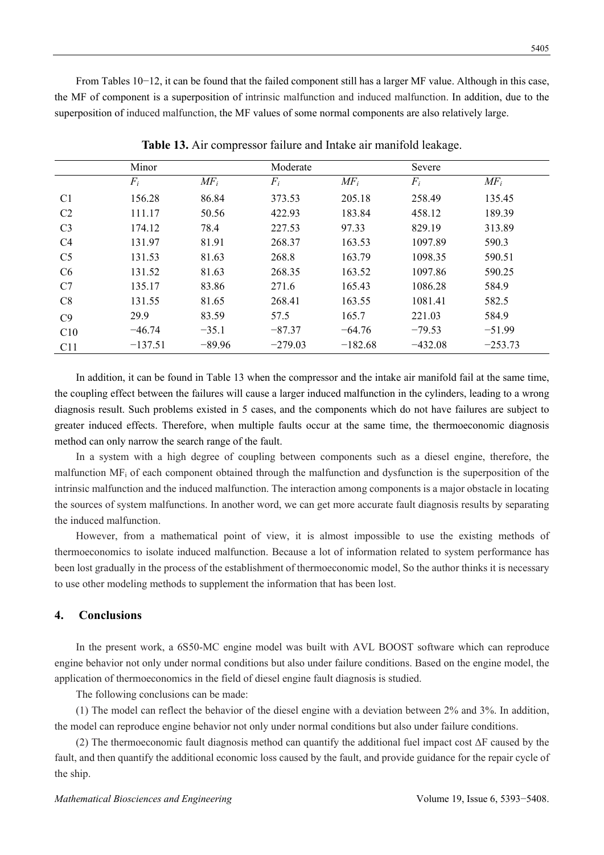From Tables 10−12, it can be found that the failed component still has a larger MF value. Although in this case, the MF of component is a superposition of intrinsic malfunction and induced malfunction. In addition, due to the superposition of induced malfunction, the MF values of some normal components are also relatively large.

|                | Minor     |          | Moderate  |           | Severe    |           |
|----------------|-----------|----------|-----------|-----------|-----------|-----------|
|                | $F_i$     | $MF_i$   | $F_i$     | $MF_i$    | $F_i$     | $MF_i$    |
| C <sub>1</sub> | 156.28    | 86.84    | 373.53    | 205.18    | 258.49    | 135.45    |
| C <sub>2</sub> | 111.17    | 50.56    | 422.93    | 183.84    | 458.12    | 189.39    |
| C <sub>3</sub> | 174.12    | 78.4     | 227.53    | 97.33     | 829.19    | 313.89    |
| C <sub>4</sub> | 131.97    | 81.91    | 268.37    | 163.53    | 1097.89   | 590.3     |
| C <sub>5</sub> | 131.53    | 81.63    | 268.8     | 163.79    | 1098.35   | 590.51    |
| C6             | 131.52    | 81.63    | 268.35    | 163.52    | 1097.86   | 590.25    |
| C7             | 135.17    | 83.86    | 271.6     | 165.43    | 1086.28   | 584.9     |
| C8             | 131.55    | 81.65    | 268.41    | 163.55    | 1081.41   | 582.5     |
| C9             | 29.9      | 83.59    | 57.5      | 165.7     | 221.03    | 584.9     |
| C10            | $-46.74$  | $-35.1$  | $-87.37$  | $-64.76$  | $-79.53$  | $-51.99$  |
| C11            | $-137.51$ | $-89.96$ | $-279.03$ | $-182.68$ | $-432.08$ | $-253.73$ |

**Table 13.** Air compressor failure and Intake air manifold leakage.

In addition, it can be found in Table 13 when the compressor and the intake air manifold fail at the same time, the coupling effect between the failures will cause a larger induced malfunction in the cylinders, leading to a wrong diagnosis result. Such problems existed in 5 cases, and the components which do not have failures are subject to greater induced effects. Therefore, when multiple faults occur at the same time, the thermoeconomic diagnosis method can only narrow the search range of the fault.

In a system with a high degree of coupling between components such as a diesel engine, therefore, the malfunction MFi of each component obtained through the malfunction and dysfunction is the superposition of the intrinsic malfunction and the induced malfunction. The interaction among components is a major obstacle in locating the sources of system malfunctions. In another word, we can get more accurate fault diagnosis results by separating the induced malfunction.

However, from a mathematical point of view, it is almost impossible to use the existing methods of thermoeconomics to isolate induced malfunction. Because a lot of information related to system performance has been lost gradually in the process of the establishment of thermoeconomic model, So the author thinks it is necessary to use other modeling methods to supplement the information that has been lost.

# **4. Conclusions**

In the present work, a 6S50-MC engine model was built with AVL BOOST software which can reproduce engine behavior not only under normal conditions but also under failure conditions. Based on the engine model, the application of thermoeconomics in the field of diesel engine fault diagnosis is studied.

The following conclusions can be made:

(1) The model can reflect the behavior of the diesel engine with a deviation between 2% and 3%. In addition, the model can reproduce engine behavior not only under normal conditions but also under failure conditions.

(2) The thermoeconomic fault diagnosis method can quantify the additional fuel impact cost  $\Delta F$  caused by the fault, and then quantify the additional economic loss caused by the fault, and provide guidance for the repair cycle of the ship.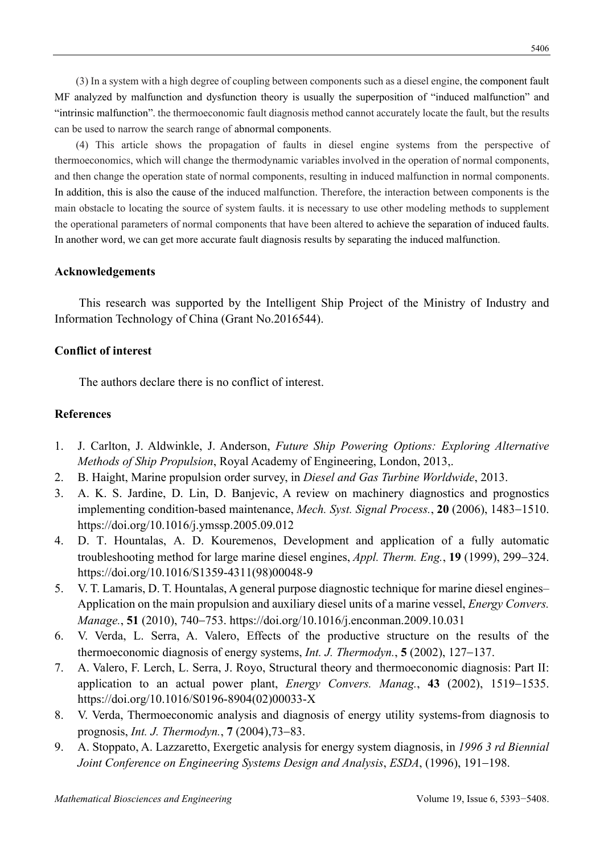(3) In a system with a high degree of coupling between components such as a diesel engine, the component fault MF analyzed by malfunction and dysfunction theory is usually the superposition of "induced malfunction" and "intrinsic malfunction". the thermoeconomic fault diagnosis method cannot accurately locate the fault, but the results can be used to narrow the search range of abnormal components.

(4) This article shows the propagation of faults in diesel engine systems from the perspective of thermoeconomics, which will change the thermodynamic variables involved in the operation of normal components, and then change the operation state of normal components, resulting in induced malfunction in normal components. In addition, this is also the cause of the induced malfunction. Therefore, the interaction between components is the main obstacle to locating the source of system faults. it is necessary to use other modeling methods to supplement the operational parameters of normal components that have been altered to achieve the separation of induced faults. In another word, we can get more accurate fault diagnosis results by separating the induced malfunction.

# **Acknowledgements**

This research was supported by the Intelligent Ship Project of the Ministry of Industry and Information Technology of China (Grant No.2016544).

# **Conflict of interest**

The authors declare there is no conflict of interest.

# **References**

- 1. J. Carlton, J. Aldwinkle, J. Anderson, *Future Ship Powering Options: Exploring Alternative Methods of Ship Propulsion*, Royal Academy of Engineering, London, 2013,.
- 2. B. Haight, Marine propulsion order survey, in *Diesel and Gas Turbine Worldwide*, 2013.
- 3. A. K. S. Jardine, D. Lin, D. Banjevic, A review on machinery diagnostics and prognostics implementing condition-based maintenance, *Mech. Syst. Signal Process.*, **20** (2006), 1483–1510. https://doi.org/10.1016/j.ymssp.2005.09.012
- 4. D. T. Hountalas, A. D. Kouremenos, Development and application of a fully automatic troubleshooting method for large marine diesel engines, *Appl. Therm. Eng.*, **19** (1999), 299–324. https://doi.org/10.1016/S1359-4311(98)00048-9
- 5. V. T. Lamaris, D. T. Hountalas, A general purpose diagnostic technique for marine diesel engines– Application on the main propulsion and auxiliary diesel units of a marine vessel, *Energy Convers. Manage.*, **51** (2010), 740753. https://doi.org/10.1016/j.enconman.2009.10.031
- 6. V. Verda, L. Serra, A. Valero, Effects of the productive structure on the results of the thermoeconomic diagnosis of energy systems, *Int. J. Thermodyn.*, **5** (2002), 127–137.
- 7. A. Valero, F. Lerch, L. Serra, J. Royo, Structural theory and thermoeconomic diagnosis: Part II: application to an actual power plant, *Energy Convers. Manag.*, 43 (2002), 1519–1535. https://doi.org/10.1016/S0196-8904(02)00033-X
- 8. V. Verda, Thermoeconomic analysis and diagnosis of energy utility systems-from diagnosis to prognosis, *Int. J. Thermodyn.*, **7** (2004), **73**–83.
- 9. A. Stoppato, A. Lazzaretto, Exergetic analysis for energy system diagnosis, in *1996 3 rd Biennial Joint Conference on Engineering Systems Design and Analysis, ESDA, (1996), 191–198.*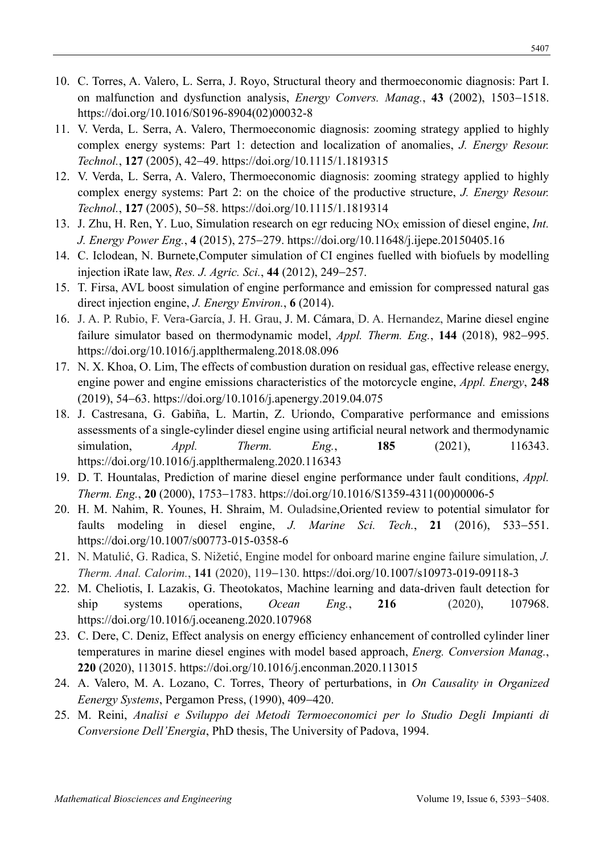- 10. C. Torres, A. Valero, L. Serra, J. Royo, Structural theory and thermoeconomic diagnosis: Part I. on malfunction and dysfunction analysis, *Energy Convers. Manag.*, 43 (2002), 1503–1518. https://doi.org/10.1016/S0196-8904(02)00032-8
- 11. V. Verda, L. Serra, A. Valero, Thermoeconomic diagnosis: zooming strategy applied to highly complex energy systems: Part 1: detection and localization of anomalies, *J. Energy Resour. Technol.*, **127** (2005), 4249. https://doi.org/10.1115/1.1819315
- 12. V. Verda, L. Serra, A. Valero, Thermoeconomic diagnosis: zooming strategy applied to highly complex energy systems: Part 2: on the choice of the productive structure, *J. Energy Resour. Technol.*, **127** (2005), 5058. https://doi.org/10.1115/1.1819314
- 13. J. Zhu, H. Ren, Y. Luo, Simulation research on egr reducing NOX emission of diesel engine, *Int. J. Energy Power Eng.*, 4 (2015), 275–279. https://doi.org/10.11648/j.ijepe.20150405.16
- 14. C. Iclodean, N. Burnete,Computer simulation of CI engines fuelled with biofuels by modelling injection iRate law, *Res. J. Agric. Sci.*, 44 (2012), 249–257.
- 15. T. Firsa, AVL boost simulation of engine performance and emission for compressed natural gas direct injection engine, *J. Energy Environ.*, **6** (2014).
- 16. J. A. P. Rubio, F. Vera-García, J. H. Grau, J. M. Cámara, D. A. Hernandez, Marine diesel engine failure simulator based on thermodynamic model, *Appl. Therm. Eng.*, 144 (2018), 982–995. https://doi.org/10.1016/j.applthermaleng.2018.08.096
- 17. N. X. Khoa, O. Lim, The effects of combustion duration on residual gas, effective release energy, engine power and engine emissions characteristics of the motorcycle engine, *Appl. Energy*, **248** (2019), 54–63. https://doi.org/10.1016/j.apenergy.2019.04.075
- 18. J. Castresana, G. Gabiña, L. Martin, Z. Uriondo, Comparative performance and emissions assessments of a single-cylinder diesel engine using artificial neural network and thermodynamic simulation, *Appl. Therm. Eng.*, **185** (2021), 116343. https://doi.org/10.1016/j.applthermaleng.2020.116343
- 19. D. T. Hountalas, Prediction of marine diesel engine performance under fault conditions, *Appl. Therm. Eng.*, **20** (2000), 1753-1783. https://doi.org/10.1016/S1359-4311(00)00006-5
- 20. H. M. Nahim, R. Younes, H. Shraim, M. Ouladsine,Oriented review to potential simulator for faults modeling in diesel engine, *J. Marine Sci. Tech.*, **21** (2016), 533–551. https://doi.org/10.1007/s00773-015-0358-6
- 21. N. Matulić, G. Radica, S. Nižetić, Engine model for onboard marine engine failure simulation, *J. Therm. Anal. Calorim.*, **141** (2020), 119–130. https://doi.org/10.1007/s10973-019-09118-3
- 22. M. Cheliotis, I. Lazakis, G. Theotokatos, Machine learning and data-driven fault detection for ship systems operations, *Ocean Eng.*, **216** (2020), 107968. https://doi.org/10.1016/j.oceaneng.2020.107968
- 23. C. Dere, C. Deniz, Effect analysis on energy efficiency enhancement of controlled cylinder liner temperatures in marine diesel engines with model based approach, *Energ. Conversion Manag.*, **220** (2020), 113015. https://doi.org/10.1016/j.enconman.2020.113015
- 24. A. Valero, M. A. Lozano, C. Torres, Theory of perturbations, in *On Causality in Organized Eenergy Systems*, Pergamon Press, (1990), 409-420.
- 25. M. Reini, *Analisi e Sviluppo dei Metodi Termoeconomici per lo Studio Degli Impianti di Conversione Dell'Energia*, PhD thesis, The University of Padova, 1994.